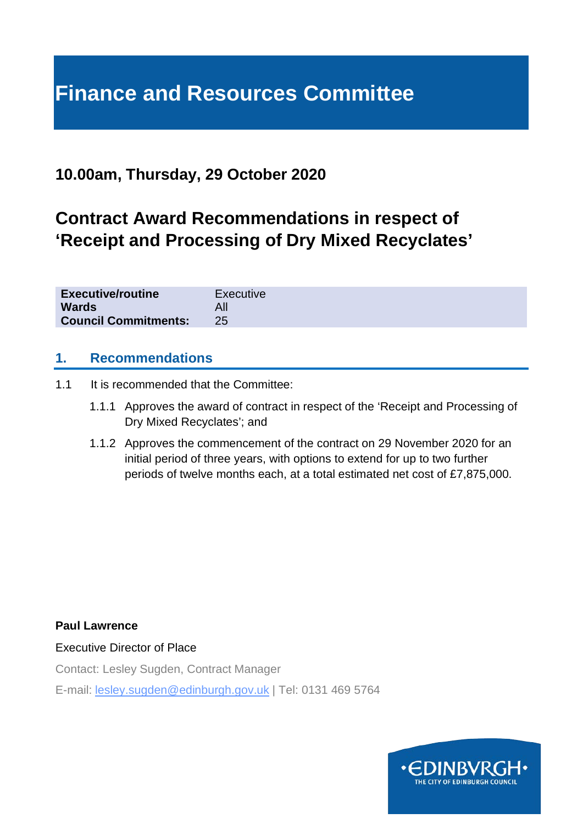# **Finance and Resources Committee**

# **10.00am, Thursday, 29 October 2020**

# **Contract Award Recommendations in respect of 'Receipt and Processing of Dry Mixed Recyclates'**

| <b>Executive/routine</b>    | Executive |
|-----------------------------|-----------|
| <b>Wards</b>                |           |
| <b>Council Commitments:</b> |           |

#### **1. Recommendations**

- 1.1 It is recommended that the Committee:
	- 1.1.1 Approves the award of contract in respect of the 'Receipt and Processing of Dry Mixed Recyclates'; and
	- 1.1.2 Approves the commencement of the contract on 29 November 2020 for an initial period of three years, with options to extend for up to two further periods of twelve months each, at a total estimated net cost of £7,875,000.

#### **Paul Lawrence**

Executive Director of Place

Contact: Lesley Sugden, Contract Manager

E-mail: lesley.sugden@edinburgh.gov.uk | Tel: 0131 469 5764

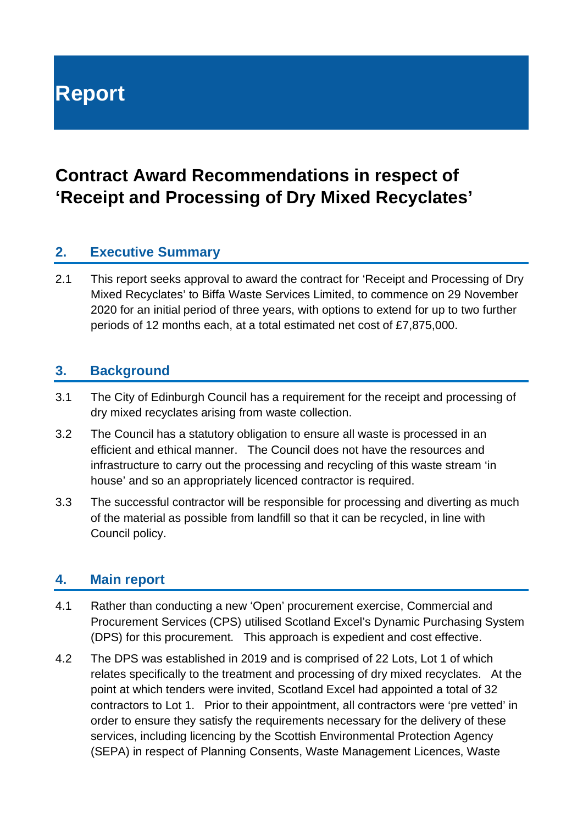# **Report**

# **Contract Award Recommendations in respect of 'Receipt and Processing of Dry Mixed Recyclates'**

### **2. Executive Summary**

2.1 This report seeks approval to award the contract for 'Receipt and Processing of Dry Mixed Recyclates' to Biffa Waste Services Limited, to commence on 29 November 2020 for an initial period of three years, with options to extend for up to two further periods of 12 months each, at a total estimated net cost of £7,875,000.

#### **3. Background**

- 3.1 The City of Edinburgh Council has a requirement for the receipt and processing of dry mixed recyclates arising from waste collection.
- 3.2 The Council has a statutory obligation to ensure all waste is processed in an efficient and ethical manner. The Council does not have the resources and infrastructure to carry out the processing and recycling of this waste stream 'in house' and so an appropriately licenced contractor is required.
- 3.3 The successful contractor will be responsible for processing and diverting as much of the material as possible from landfill so that it can be recycled, in line with Council policy.

#### **4. Main report**

- 4.1 Rather than conducting a new 'Open' procurement exercise, Commercial and Procurement Services (CPS) utilised Scotland Excel's Dynamic Purchasing System (DPS) for this procurement. This approach is expedient and cost effective.
- 4.2 The DPS was established in 2019 and is comprised of 22 Lots, Lot 1 of which relates specifically to the treatment and processing of dry mixed recyclates. At the point at which tenders were invited, Scotland Excel had appointed a total of 32 contractors to Lot 1. Prior to their appointment, all contractors were 'pre vetted' in order to ensure they satisfy the requirements necessary for the delivery of these services, including licencing by the Scottish Environmental Protection Agency (SEPA) in respect of Planning Consents, Waste Management Licences, Waste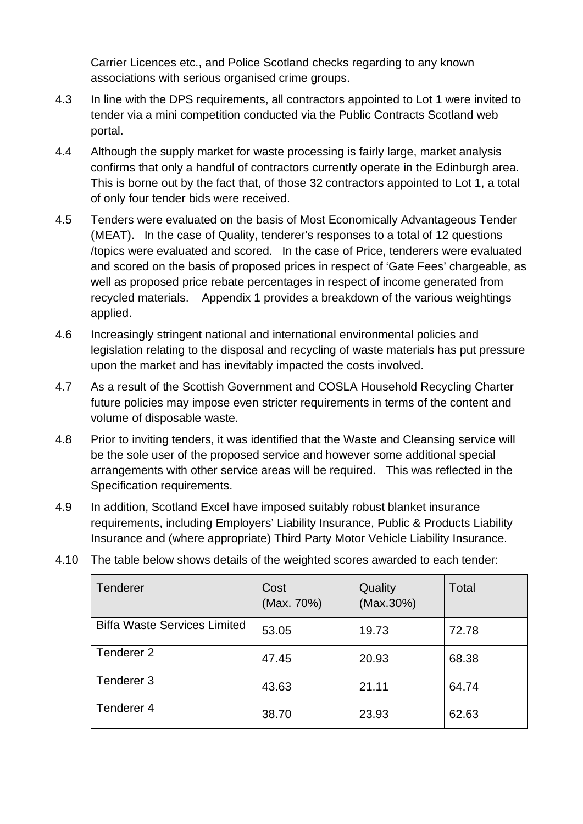Carrier Licences etc., and Police Scotland checks regarding to any known associations with serious organised crime groups.

- 4.3 In line with the DPS requirements, all contractors appointed to Lot 1 were invited to tender via a mini competition conducted via the Public Contracts Scotland web portal.
- 4.4 Although the supply market for waste processing is fairly large, market analysis confirms that only a handful of contractors currently operate in the Edinburgh area. This is borne out by the fact that, of those 32 contractors appointed to Lot 1, a total of only four tender bids were received.
- 4.5 Tenders were evaluated on the basis of Most Economically Advantageous Tender (MEAT). In the case of Quality, tenderer's responses to a total of 12 questions /topics were evaluated and scored. In the case of Price, tenderers were evaluated and scored on the basis of proposed prices in respect of 'Gate Fees' chargeable, as well as proposed price rebate percentages in respect of income generated from recycled materials. Appendix 1 provides a breakdown of the various weightings applied.
- 4.6 Increasingly stringent national and international environmental policies and legislation relating to the disposal and recycling of waste materials has put pressure upon the market and has inevitably impacted the costs involved.
- 4.7 As a result of the Scottish Government and COSLA Household Recycling Charter future policies may impose even stricter requirements in terms of the content and volume of disposable waste.
- 4.8 Prior to inviting tenders, it was identified that the Waste and Cleansing service will be the sole user of the proposed service and however some additional special arrangements with other service areas will be required. This was reflected in the Specification requirements.
- 4.9 In addition, Scotland Excel have imposed suitably robust blanket insurance requirements, including Employers' Liability Insurance, Public & Products Liability Insurance and (where appropriate) Third Party Motor Vehicle Liability Insurance.

| Tenderer                            | Cost<br>(Max. 70%) | Quality<br>(Max.30%) | Total |
|-------------------------------------|--------------------|----------------------|-------|
| <b>Biffa Waste Services Limited</b> | 53.05              | 19.73                | 72.78 |
| Tenderer <sub>2</sub>               | 47.45              | 20.93                | 68.38 |
| Tenderer 3                          | 43.63              | 21.11                | 64.74 |
| Tenderer 4                          | 38.70              | 23.93                | 62.63 |

4.10 The table below shows details of the weighted scores awarded to each tender: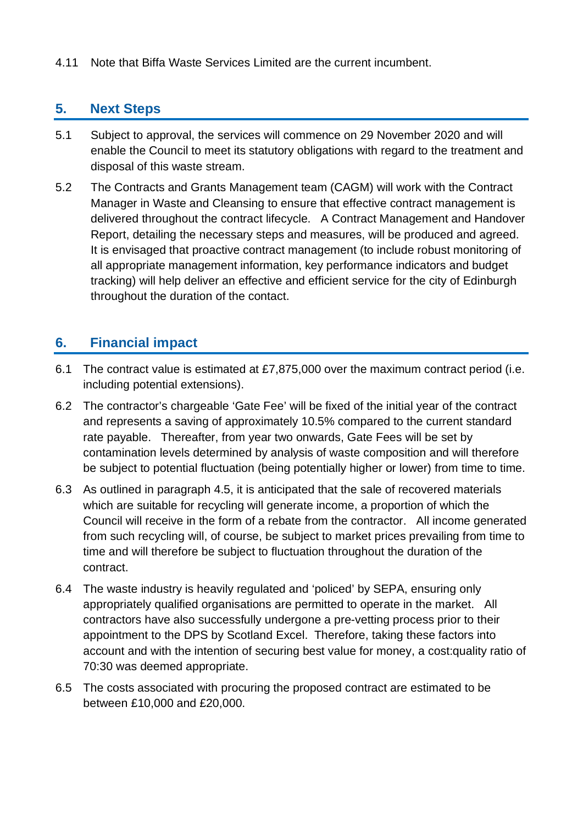4.11 Note that Biffa Waste Services Limited are the current incumbent.

#### **5. Next Steps**

- 5.1 Subject to approval, the services will commence on 29 November 2020 and will enable the Council to meet its statutory obligations with regard to the treatment and disposal of this waste stream.
- 5.2 The Contracts and Grants Management team (CAGM) will work with the Contract Manager in Waste and Cleansing to ensure that effective contract management is delivered throughout the contract lifecycle. A Contract Management and Handover Report, detailing the necessary steps and measures, will be produced and agreed. It is envisaged that proactive contract management (to include robust monitoring of all appropriate management information, key performance indicators and budget tracking) will help deliver an effective and efficient service for the city of Edinburgh throughout the duration of the contact.

### **6. Financial impact**

- 6.1 The contract value is estimated at £7,875,000 over the maximum contract period (i.e. including potential extensions).
- 6.2 The contractor's chargeable 'Gate Fee' will be fixed of the initial year of the contract and represents a saving of approximately 10.5% compared to the current standard rate payable. Thereafter, from year two onwards, Gate Fees will be set by contamination levels determined by analysis of waste composition and will therefore be subject to potential fluctuation (being potentially higher or lower) from time to time.
- 6.3 As outlined in paragraph 4.5, it is anticipated that the sale of recovered materials which are suitable for recycling will generate income, a proportion of which the Council will receive in the form of a rebate from the contractor. All income generated from such recycling will, of course, be subject to market prices prevailing from time to time and will therefore be subject to fluctuation throughout the duration of the contract.
- 6.4 The waste industry is heavily regulated and 'policed' by SEPA, ensuring only appropriately qualified organisations are permitted to operate in the market. All contractors have also successfully undergone a pre-vetting process prior to their appointment to the DPS by Scotland Excel. Therefore, taking these factors into account and with the intention of securing best value for money, a cost:quality ratio of 70:30 was deemed appropriate.
- 6.5 The costs associated with procuring the proposed contract are estimated to be between £10,000 and £20,000.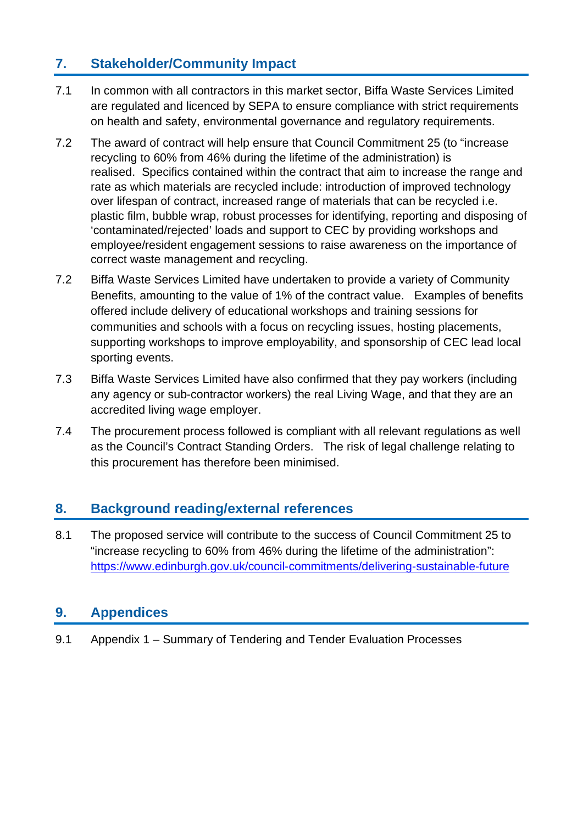## **7. Stakeholder/Community Impact**

- 7.1 In common with all contractors in this market sector, Biffa Waste Services Limited are regulated and licenced by SEPA to ensure compliance with strict requirements on health and safety, environmental governance and regulatory requirements.
- 7.2 The award of contract will help ensure that Council Commitment 25 (to "increase recycling to 60% from 46% during the lifetime of the administration) is realised. Specifics contained within the contract that aim to increase the range and rate as which materials are recycled include: introduction of improved technology over lifespan of contract, increased range of materials that can be recycled i.e. plastic film, bubble wrap, robust processes for identifying, reporting and disposing of 'contaminated/rejected' loads and support to CEC by providing workshops and employee/resident engagement sessions to raise awareness on the importance of correct waste management and recycling.
- 7.2 Biffa Waste Services Limited have undertaken to provide a variety of Community Benefits, amounting to the value of 1% of the contract value. Examples of benefits offered include delivery of educational workshops and training sessions for communities and schools with a focus on recycling issues, hosting placements, supporting workshops to improve employability, and sponsorship of CEC lead local sporting events.
- 7.3 Biffa Waste Services Limited have also confirmed that they pay workers (including any agency or sub-contractor workers) the real Living Wage, and that they are an accredited living wage employer.
- 7.4 The procurement process followed is compliant with all relevant regulations as well as the Council's Contract Standing Orders. The risk of legal challenge relating to this procurement has therefore been minimised.

#### **8. Background reading/external references**

8.1 The proposed service will contribute to the success of Council Commitment 25 to "increase recycling to 60% from 46% during the lifetime of the administration": <https://www.edinburgh.gov.uk/council-commitments/delivering-sustainable-future>

## **9. Appendices**

9.1 Appendix 1 – Summary of Tendering and Tender Evaluation Processes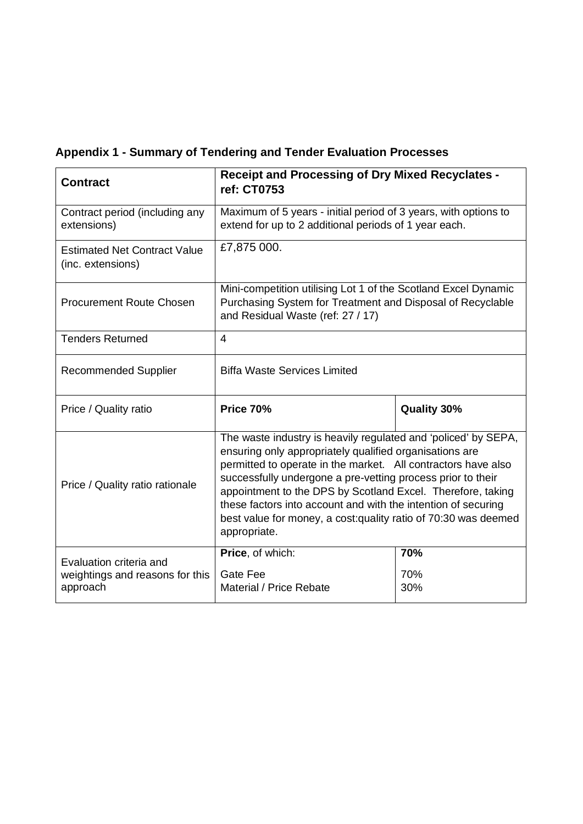|  | <b>Appendix 1 - Summary of Tendering and Tender Evaluation Processes</b> |  |
|--|--------------------------------------------------------------------------|--|
|  |                                                                          |  |

| <b>Contract</b>                                                        | <b>Receipt and Processing of Dry Mixed Recyclates -</b><br>ref: CT0753                                                                                                                                                                                                                                                                                                                                                                                                       |                    |  |
|------------------------------------------------------------------------|------------------------------------------------------------------------------------------------------------------------------------------------------------------------------------------------------------------------------------------------------------------------------------------------------------------------------------------------------------------------------------------------------------------------------------------------------------------------------|--------------------|--|
| Contract period (including any<br>extensions)                          | Maximum of 5 years - initial period of 3 years, with options to<br>extend for up to 2 additional periods of 1 year each.                                                                                                                                                                                                                                                                                                                                                     |                    |  |
| <b>Estimated Net Contract Value</b><br>(inc. extensions)               | £7,875 000.                                                                                                                                                                                                                                                                                                                                                                                                                                                                  |                    |  |
| <b>Procurement Route Chosen</b>                                        | Mini-competition utilising Lot 1 of the Scotland Excel Dynamic<br>Purchasing System for Treatment and Disposal of Recyclable<br>and Residual Waste (ref: 27 / 17)                                                                                                                                                                                                                                                                                                            |                    |  |
| <b>Tenders Returned</b>                                                | $\overline{4}$                                                                                                                                                                                                                                                                                                                                                                                                                                                               |                    |  |
| <b>Recommended Supplier</b>                                            | <b>Biffa Waste Services Limited</b>                                                                                                                                                                                                                                                                                                                                                                                                                                          |                    |  |
| Price / Quality ratio                                                  | <b>Price 70%</b>                                                                                                                                                                                                                                                                                                                                                                                                                                                             | <b>Quality 30%</b> |  |
| Price / Quality ratio rationale                                        | The waste industry is heavily regulated and 'policed' by SEPA,<br>ensuring only appropriately qualified organisations are<br>permitted to operate in the market. All contractors have also<br>successfully undergone a pre-vetting process prior to their<br>appointment to the DPS by Scotland Excel. Therefore, taking<br>these factors into account and with the intention of securing<br>best value for money, a cost: quality ratio of 70:30 was deemed<br>appropriate. |                    |  |
| Evaluation criteria and<br>weightings and reasons for this<br>approach | Price, of which:<br>Gate Fee<br>Material / Price Rebate                                                                                                                                                                                                                                                                                                                                                                                                                      | 70%<br>70%<br>30%  |  |